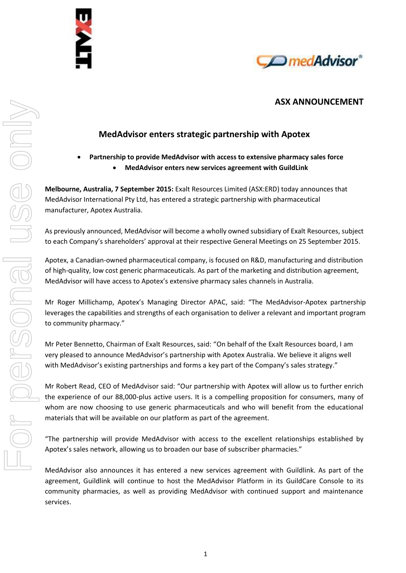



# **ASX ANNOUNCEMENT**

# **MedAdvisor enters strategic partnership with Apotex**

## **Partnership to provide MedAdvisor with access to extensive pharmacy sales force MedAdvisor enters new services agreement with GuildLink**

**Melbourne, Australia, 7 September 2015:** Exalt Resources Limited (ASX:ERD) today announces that MedAdvisor International Pty Ltd, has entered a strategic partnership with pharmaceutical manufacturer, Apotex Australia.

As previously announced, MedAdvisor will become a wholly owned subsidiary of Exalt Resources, subject to each Company's shareholders' approval at their respective General Meetings on 25 September 2015.

Apotex, a Canadian-owned pharmaceutical company, is focused on R&D, manufacturing and distribution of high-quality, low cost generic pharmaceuticals. As part of the marketing and distribution agreement, MedAdvisor will have access to Apotex's extensive pharmacy sales channels in Australia.

Mr Roger Millichamp, Apotex's Managing Director APAC, said: "The MedAdvisor-Apotex partnership leverages the capabilities and strengths of each organisation to deliver a relevant and important program to community pharmacy."

Mr Peter Bennetto, Chairman of Exalt Resources, said: "On behalf of the Exalt Resources board, I am very pleased to announce MedAdvisor's partnership with Apotex Australia. We believe it aligns well with MedAdvisor's existing partnerships and forms a key part of the Company's sales strategy."

Mr Robert Read, CEO of MedAdvisor said: "Our partnership with Apotex will allow us to further enrich the experience of our 88,000-plus active users. It is a compelling proposition for consumers, many of whom are now choosing to use generic pharmaceuticals and who will benefit from the educational materials that will be available on our platform as part of the agreement.

"The partnership will provide MedAdvisor with access to the excellent relationships established by Apotex's sales network, allowing us to broaden our base of subscriber pharmacies."

MedAdvisor also announces it has entered a new services agreement with Guildlink. As part of the agreement, Guildlink will continue to host the MedAdvisor Platform in its GuildCare Console to its community pharmacies, as well as providing MedAdvisor with continued support and maintenance services.